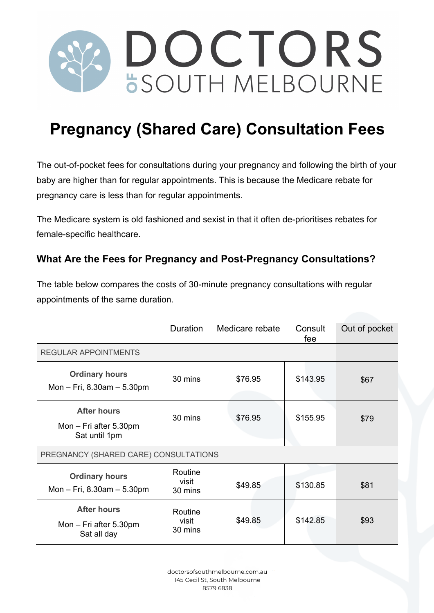

## **Pregnancy (Shared Care) Consultation Fees**

The out-of-pocket fees for consultations during your pregnancy and following the birth of your baby are higher than for regular appointments. This is because the Medicare rebate for pregnancy care is less than for regular appointments.

The Medicare system is old fashioned and sexist in that it often de-prioritises rebates for female-specific healthcare.

## **What Are the Fees for Pregnancy and Post-Pregnancy Consultations?**

The table below compares the costs of 30-minute pregnancy consultations with regular appointments of the same duration.

|                                                               | <b>Duration</b>             | Medicare rebate | Consult<br>fee | Out of pocket |
|---------------------------------------------------------------|-----------------------------|-----------------|----------------|---------------|
| <b>REGULAR APPOINTMENTS</b>                                   |                             |                 |                |               |
| <b>Ordinary hours</b><br>Mon $-$ Fri, 8.30am $-$ 5.30pm       | 30 mins                     | \$76.95         | \$143.95       | \$67          |
| <b>After hours</b><br>Mon – Fri after 5.30pm<br>Sat until 1pm | 30 mins                     | \$76.95         | \$155.95       | \$79          |
| PREGNANCY (SHARED CARE) CONSULTATIONS                         |                             |                 |                |               |
| <b>Ordinary hours</b><br>Mon $-$ Fri, 8.30am $-$ 5.30pm       | Routine<br>visit<br>30 mins | \$49.85         | \$130.85       | \$81          |
| <b>After hours</b><br>Mon - Fri after 5.30pm<br>Sat all day   | Routine<br>visit<br>30 mins | \$49.85         | \$142.85       | \$93          |